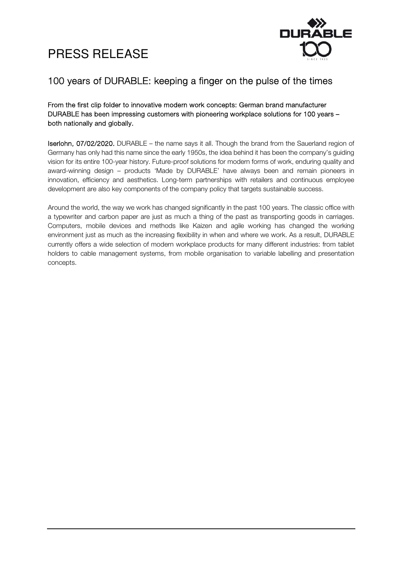



### 100 years of DURABLE: keeping a finger on the pulse of the times

From the first clip folder to innovative modern work concepts: German brand manufacturer DURABLE has been impressing customers with pioneering workplace solutions for 100 years – both nationally and globally.

Iserlohn, 07/02/2020. DURABLE – the name says it all. Though the brand from the Sauerland region of Germany has only had this name since the early 1950s, the idea behind it has been the company's guiding vision for its entire 100-year history. Future-proof solutions for modern forms of work, enduring quality and award-winning design – products 'Made by DURABLE' have always been and remain pioneers in innovation, efficiency and aesthetics. Long-term partnerships with retailers and continuous employee development are also key components of the company policy that targets sustainable success.

Around the world, the way we work has changed significantly in the past 100 years. The classic office with a typewriter and carbon paper are just as much a thing of the past as transporting goods in carriages. Computers, mobile devices and methods like Kaizen and agile working has changed the working environment just as much as the increasing flexibility in when and where we work. As a result, DURABLE currently offers a wide selection of modern workplace products for many different industries: from tablet holders to cable management systems, from mobile organisation to variable labelling and presentation concepts.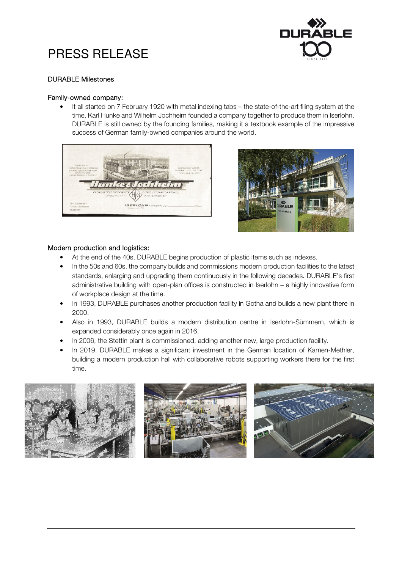

### DURABLE Milestones

### Family-owned company:

• It all started on 7 February 1920 with metal indexing tabs – the state-of-the-art filing system at the time. Karl Hunke and Wilhelm Jochheim founded a company together to produce them in Iserlohn. DURABLE is still owned by the founding families, making it a textbook example of the impressive success of German family-owned companies around the world.





### Modern production and logistics:

- At the end of the 40s, DURABLE begins production of plastic items such as indexes.
- In the 50s and 60s, the company builds and commissions modern production facilities to the latest standards, enlarging and upgrading them continuously in the following decades. DURABLE's first administrative building with open-plan offices is constructed in Iserlohn – a highly innovative form of workplace design at the time.
- In 1993, DURABLE purchases another production facility in Gotha and builds a new plant there in 2000.
- Also in 1993, DURABLE builds a modern distribution centre in Iserlohn-Sümmern, which is expanded considerably once again in 2016.
- In 2006, the Stettin plant is commissioned, adding another new, large production facility.
- In 2019, DURABLE makes a significant investment in the German location of Kamen-Methler, building a modern production hall with collaborative robots supporting workers there for the first time.

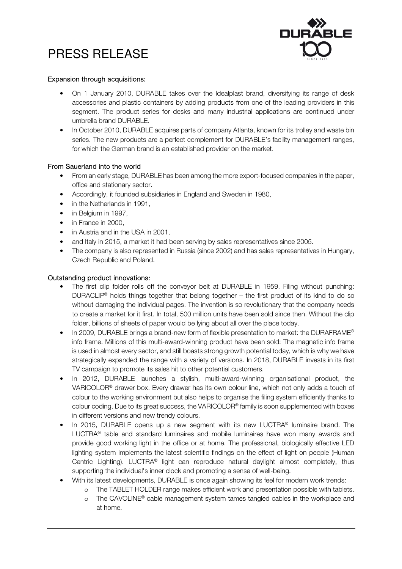

### Expansion through acquisitions:

- On 1 January 2010, DURABLE takes over the Idealplast brand, diversifying its range of desk accessories and plastic containers by adding products from one of the leading providers in this segment. The product series for desks and many industrial applications are continued under umbrella brand DURABLE.
- In October 2010, DURABLE acquires parts of company Atlanta, known for its trolley and waste bin series. The new products are a perfect complement for DURABLE's facility management ranges, for which the German brand is an established provider on the market.

### From Sauerland into the world

- From an early stage, DURABLE has been among the more export-focused companies in the paper, office and stationary sector.
- Accordingly, it founded subsidiaries in England and Sweden in 1980,
- in the Netherlands in 1991,
- in Belgium in 1997,
- in France in 2000,
- in Austria and in the USA in 2001,
- and Italy in 2015, a market it had been serving by sales representatives since 2005.
- The company is also represented in Russia (since 2002) and has sales representatives in Hungary, Czech Republic and Poland.

### Outstanding product innovations:

- The first clip folder rolls off the convevor belt at DURABLE in 1959. Filing without punching: DURACLIP<sup>®</sup> holds things together that belong together – the first product of its kind to do so without damaging the individual pages. The invention is so revolutionary that the company needs to create a market for it first. In total, 500 million units have been sold since then. Without the clip folder, billions of sheets of paper would be lying about all over the place today.
- In 2009, DURABLE brings a brand-new form of flexible presentation to market: the DURAFRAME® info frame. Millions of this multi-award-winning product have been sold: The magnetic info frame is used in almost every sector, and still boasts strong growth potential today, which is why we have strategically expanded the range with a variety of versions. In 2018, DURABLE invests in its first TV campaign to promote its sales hit to other potential customers.
- In 2012, DURABLE launches a stylish, multi-award-winning organisational product, the VARICOLOR® drawer box. Every drawer has its own colour line, which not only adds a touch of colour to the working environment but also helps to organise the filing system efficiently thanks to colour coding. Due to its great success, the VARICOLOR® family is soon supplemented with boxes in different versions and new trendy colours.
- In 2015, DURABLE opens up a new segment with its new LUCTRA<sup>®</sup> luminaire brand. The LUCTRA® table and standard luminaires and mobile luminaires have won many awards and provide good working light in the office or at home. The professional, biologically effective LED lighting system implements the latest scientific findings on the effect of light on people (Human Centric Lighting). LUCTRA® light can reproduce natural daylight almost completely, thus supporting the individual's inner clock and promoting a sense of well-being.
- With its latest developments, DURABLE is once again showing its feel for modern work trends:
	- o The TABLET HOLDER range makes efficient work and presentation possible with tablets.
		- o The CAVOLINE® cable management system tames tangled cables in the workplace and at home.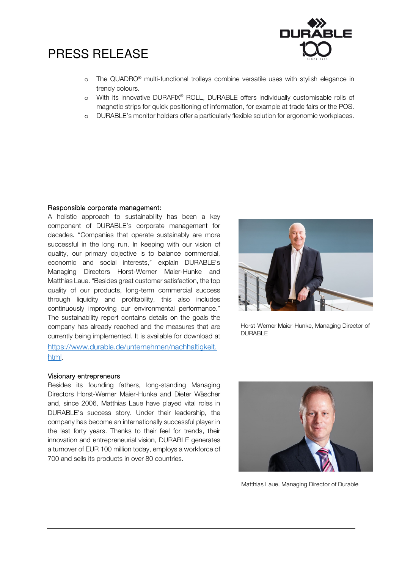

- o The QUADRO® multi-functional trolleys combine versatile uses with stylish elegance in trendy colours.
- o With its innovative DURAFIX® ROLL, DURABLE offers individually customisable rolls of magnetic strips for quick positioning of information, for example at trade fairs or the POS.
- o DURABLE's monitor holders offer a particularly flexible solution for ergonomic workplaces.

### Responsible corporate management:

A holistic approach to sustainability has been a key component of DURABLE's corporate management for decades. "Companies that operate sustainably are more successful in the long run. In keeping with our vision of quality, our primary objective is to balance commercial, economic and social interests," explain DURABLE's Managing Directors Horst-Werner Maier-Hunke and Matthias Laue. "Besides great customer satisfaction, the top quality of our products, long-term commercial success through liquidity and profitability, this also includes continuously improving our environmental performance." The sustainability report contains details on the goals the company has already reached and the measures that are currently being implemented. It is available for download at https://www.durable.de/unternehmen/nachhaltigkeit. html.



Horst-Werner Maier-Hunke, Managing Director of DURABLE

### Visionary entrepreneurs

Besides its founding fathers, long-standing Managing Directors Horst-Werner Maier-Hunke and Dieter Wäscher and, since 2006, Matthias Laue have played vital roles in DURABLE's success story. Under their leadership, the company has become an internationally successful player in the last forty years. Thanks to their feel for trends, their innovation and entrepreneurial vision, DURABLE generates a turnover of EUR 100 million today, employs a workforce of 700 and sells its products in over 80 countries.



Matthias Laue, Managing Director of Durable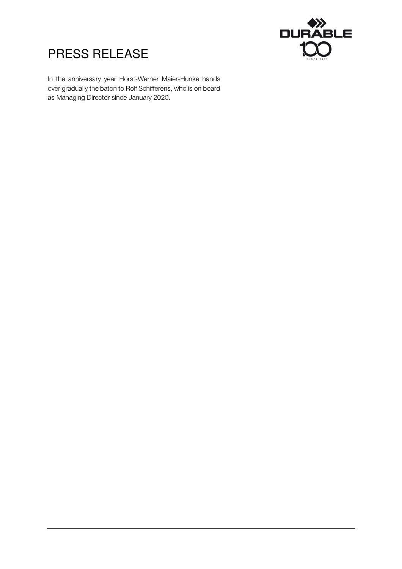



In the anniversary year Horst-Werner Maier-Hunke hands over gradually the baton to Rolf Schifferens, who is on board as Managing Director since January 2020.